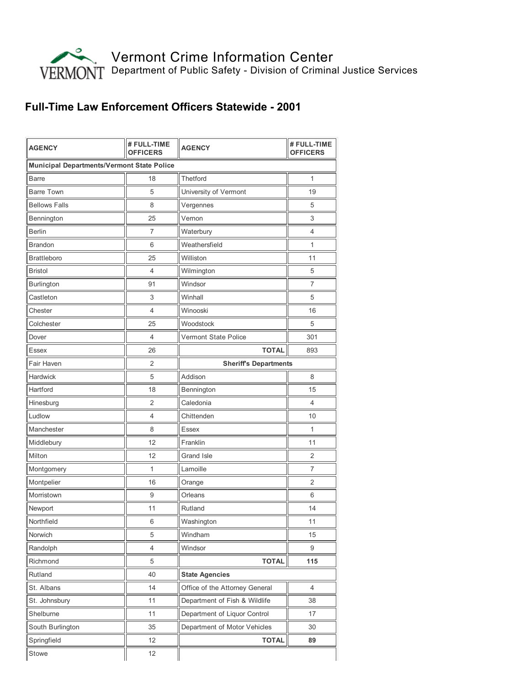

## Full-Time Law Enforcement Officers Statewide - 2001

| <b>AGENCY</b>                                     | # FULL-TIME<br><b>OFFICERS</b> | <b>AGENCY</b>                  | # FULL-TIME<br><b>OFFICERS</b> |  |
|---------------------------------------------------|--------------------------------|--------------------------------|--------------------------------|--|
| <b>Municipal Departments/Vermont State Police</b> |                                |                                |                                |  |
| Barre                                             | 18                             | Thetford                       | 1                              |  |
| <b>Barre Town</b>                                 | 5                              | University of Vermont          | 19                             |  |
| <b>Bellows Falls</b>                              | 8                              | Vergennes                      | 5                              |  |
| Bennington                                        | 25                             | Vernon                         | 3                              |  |
| <b>Berlin</b>                                     | 7                              | Waterbury                      | 4                              |  |
| <b>Brandon</b>                                    | 6                              | Weathersfield                  | 1                              |  |
| <b>Brattleboro</b>                                | 25                             | Williston                      | 11                             |  |
| <b>Bristol</b>                                    | 4                              | Wilmington                     | 5                              |  |
| Burlington                                        | 91                             | Windsor                        | $\overline{7}$                 |  |
| Castleton                                         | 3                              | Winhall                        | 5                              |  |
| Chester                                           | 4                              | Winooski                       | 16                             |  |
| Colchester                                        | 25                             | Woodstock                      | 5                              |  |
| Dover                                             | 4                              | Vermont State Police           | 301                            |  |
| Essex                                             | 26                             | <b>TOTAL</b>                   | 893                            |  |
| Fair Haven                                        | 2                              | <b>Sheriff's Departments</b>   |                                |  |
| Hardwick                                          | 5                              | Addison                        | 8                              |  |
| Hartford                                          | 18                             | Bennington                     | 15                             |  |
| Hinesburg                                         | 2                              | Caledonia                      | 4                              |  |
| Ludlow                                            | 4                              | Chittenden                     | 10                             |  |
| Manchester                                        | 8                              | Essex                          | 1                              |  |
| Middlebury                                        | 12                             | Franklin                       | 11                             |  |
| Milton                                            | 12                             | Grand Isle                     | 2                              |  |
| Montgomery                                        | 1                              | Lamoille                       | $\overline{7}$                 |  |
| Montpelier                                        | 16                             | Orange                         | 2                              |  |
| Morristown                                        | 9                              | Orleans                        | 6                              |  |
| Newport                                           | 11                             | Rutland                        | 14                             |  |
| Northfield                                        | 6                              | Washington                     | 11                             |  |
| Norwich                                           | 5                              | Windham                        | 15                             |  |
| Randolph                                          | 4                              | Windsor                        | 9                              |  |
| Richmond                                          | 5                              | <b>TOTAL</b>                   | 115                            |  |
| Rutland                                           | 40                             | <b>State Agencies</b>          |                                |  |
| St. Albans                                        | 14                             | Office of the Attorney General | 4                              |  |
| St. Johnsbury                                     | 11                             | Department of Fish & Wildlife  | 38                             |  |
| Shelburne                                         | 11                             | Department of Liquor Control   | 17                             |  |
| South Burlington                                  | 35                             | Department of Motor Vehicles   | 30                             |  |
| Springfield                                       | 12                             | <b>TOTAL</b>                   | 89                             |  |
| Stowe                                             | 12                             |                                |                                |  |